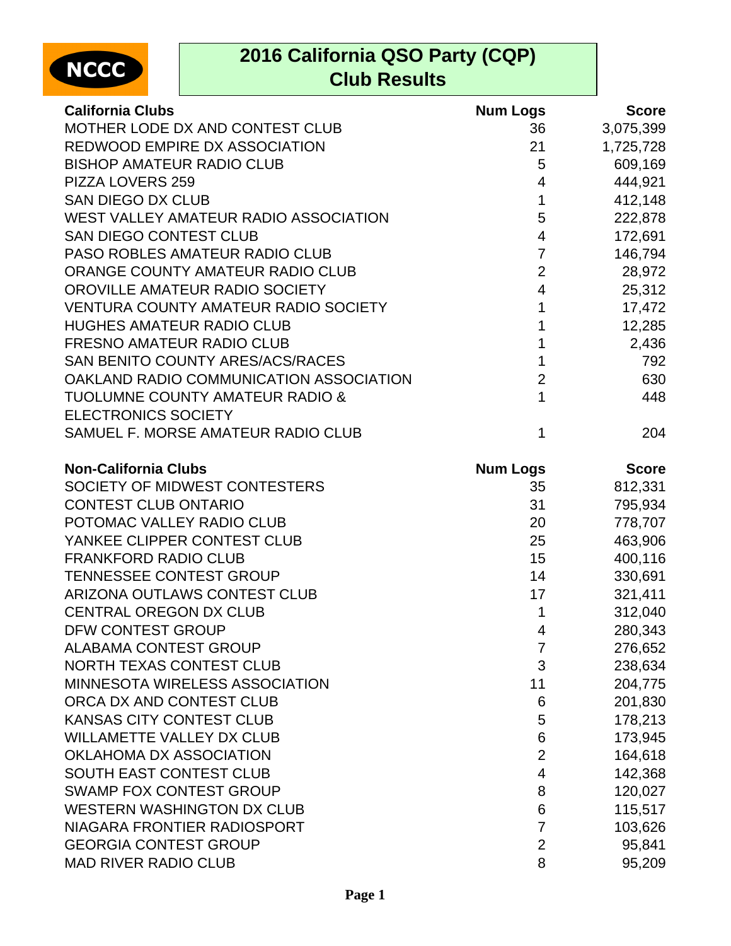

## **2016 California QSO Party (CQP) Club Results**

| <b>California Clubs</b>                     | <b>Num Logs</b> | <b>Score</b> |
|---------------------------------------------|-----------------|--------------|
| MOTHER LODE DX AND CONTEST CLUB             | 36              | 3,075,399    |
| REDWOOD EMPIRE DX ASSOCIATION               | 21              | 1,725,728    |
| <b>BISHOP AMATEUR RADIO CLUB</b>            | 5               | 609,169      |
| PIZZA LOVERS 259                            | 4               | 444,921      |
| <b>SAN DIEGO DX CLUB</b>                    | $\mathbf{1}$    | 412,148      |
| WEST VALLEY AMATEUR RADIO ASSOCIATION       | 5               | 222,878      |
| SAN DIEGO CONTEST CLUB                      | 4               | 172,691      |
| PASO ROBLES AMATEUR RADIO CLUB              | $\overline{7}$  | 146,794      |
| ORANGE COUNTY AMATEUR RADIO CLUB            | $\overline{2}$  | 28,972       |
| OROVILLE AMATEUR RADIO SOCIETY              | $\overline{4}$  | 25,312       |
| <b>VENTURA COUNTY AMATEUR RADIO SOCIETY</b> | 1               | 17,472       |
| <b>HUGHES AMATEUR RADIO CLUB</b>            | 1               | 12,285       |
| <b>FRESNO AMATEUR RADIO CLUB</b>            | 1               | 2,436        |
| SAN BENITO COUNTY ARES/ACS/RACES            | 1               | 792          |
| OAKLAND RADIO COMMUNICATION ASSOCIATION     | $\overline{2}$  | 630          |
| <b>TUOLUMNE COUNTY AMATEUR RADIO &amp;</b>  | $\mathbf{1}$    | 448          |
| <b>ELECTRONICS SOCIETY</b>                  |                 |              |
| SAMUEL F. MORSE AMATEUR RADIO CLUB          | $\mathbf 1$     | 204          |
| <b>Non-California Clubs</b>                 | <b>Num Logs</b> | <b>Score</b> |
| SOCIETY OF MIDWEST CONTESTERS               | 35              | 812,331      |
| <b>CONTEST CLUB ONTARIO</b>                 | 31              | 795,934      |
| POTOMAC VALLEY RADIO CLUB                   | 20              | 778,707      |
| YANKEE CLIPPER CONTEST CLUB                 | 25              | 463,906      |
| <b>FRANKFORD RADIO CLUB</b>                 | 15              | 400,116      |
| <b>TENNESSEE CONTEST GROUP</b>              | 14              | 330,691      |
| ARIZONA OUTLAWS CONTEST CLUB                | 17              | 321,411      |
| <b>CENTRAL OREGON DX CLUB</b>               | 1               | 312,040      |
| DFW CONTEST GROUP                           | 4               | 280,343      |
| <b>ALABAMA CONTEST GROUP</b>                | 7               | 276,652      |
| NORTH TEXAS CONTEST CLUB                    | 3               | 238,634      |
| MINNESOTA WIRELESS ASSOCIATION              | 11              | 204,775      |
| ORCA DX AND CONTEST CLUB                    | 6               | 201,830      |
| KANSAS CITY CONTEST CLUB                    | 5               | 178,213      |
| <b>WILLAMETTE VALLEY DX CLUB</b>            | 6               | 173,945      |
| OKLAHOMA DX ASSOCIATION                     | $\overline{2}$  | 164,618      |
| SOUTH EAST CONTEST CLUB                     | 4               | 142,368      |
| <b>SWAMP FOX CONTEST GROUP</b>              | 8               | 120,027      |
| <b>WESTERN WASHINGTON DX CLUB</b>           | 6               | 115,517      |
| NIAGARA FRONTIER RADIOSPORT                 | $\overline{7}$  | 103,626      |
| <b>GEORGIA CONTEST GROUP</b>                | $\overline{2}$  | 95,841       |
| <b>MAD RIVER RADIO CLUB</b>                 | 8               | 95,209       |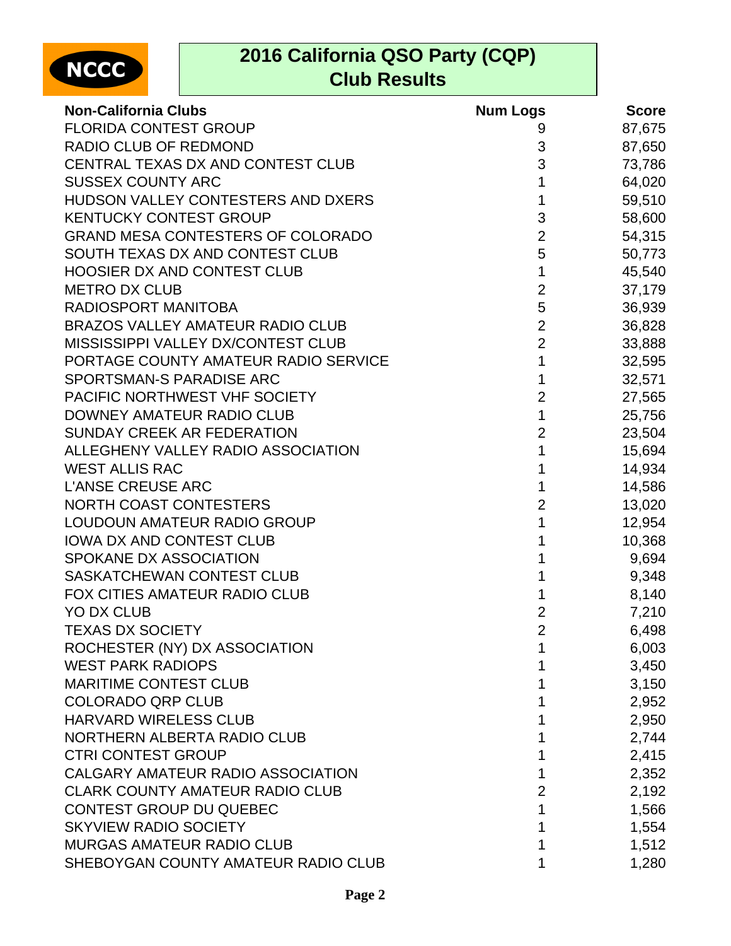

## **2016 California QSO Party (CQP) Club Results**

| <b>Non-California Clubs</b>              | <b>Num Logs</b> | <b>Score</b> |
|------------------------------------------|-----------------|--------------|
| <b>FLORIDA CONTEST GROUP</b>             | 9               | 87,675       |
| RADIO CLUB OF REDMOND                    | 3               | 87,650       |
| CENTRAL TEXAS DX AND CONTEST CLUB        | 3               | 73,786       |
| <b>SUSSEX COUNTY ARC</b>                 | 1               | 64,020       |
| HUDSON VALLEY CONTESTERS AND DXERS       | 1               | 59,510       |
| <b>KENTUCKY CONTEST GROUP</b>            | 3               | 58,600       |
| <b>GRAND MESA CONTESTERS OF COLORADO</b> | $\overline{2}$  | 54,315       |
| SOUTH TEXAS DX AND CONTEST CLUB          | 5               | 50,773       |
| <b>HOOSIER DX AND CONTEST CLUB</b>       | $\mathbf 1$     | 45,540       |
| <b>METRO DX CLUB</b>                     | $\overline{2}$  | 37,179       |
| RADIOSPORT MANITOBA                      | 5               | 36,939       |
| <b>BRAZOS VALLEY AMATEUR RADIO CLUB</b>  | $\overline{c}$  | 36,828       |
| MISSISSIPPI VALLEY DX/CONTEST CLUB       | $\overline{2}$  | 33,888       |
| PORTAGE COUNTY AMATEUR RADIO SERVICE     | 1               | 32,595       |
| SPORTSMAN-S PARADISE ARC                 | 1               | 32,571       |
| PACIFIC NORTHWEST VHF SOCIETY            | $\overline{2}$  | 27,565       |
| DOWNEY AMATEUR RADIO CLUB                | $\mathbf 1$     | 25,756       |
| <b>SUNDAY CREEK AR FEDERATION</b>        | $\overline{2}$  | 23,504       |
| ALLEGHENY VALLEY RADIO ASSOCIATION       | 1               | 15,694       |
| <b>WEST ALLIS RAC</b>                    | 1               | 14,934       |
| <b>L'ANSE CREUSE ARC</b>                 |                 | 14,586       |
| <b>NORTH COAST CONTESTERS</b>            | $\overline{c}$  | 13,020       |
| LOUDOUN AMATEUR RADIO GROUP              | 1               | 12,954       |
| <b>IOWA DX AND CONTEST CLUB</b>          | 1               | 10,368       |
| SPOKANE DX ASSOCIATION                   | 1               | 9,694        |
| SASKATCHEWAN CONTEST CLUB                |                 | 9,348        |
| FOX CITIES AMATEUR RADIO CLUB            |                 | 8,140        |
| <b>YO DX CLUB</b>                        | $\overline{2}$  | 7,210        |
| <b>TEXAS DX SOCIETY</b>                  | $\overline{2}$  | 6,498        |
| ROCHESTER (NY) DX ASSOCIATION            |                 | 6,003        |
| <b>WEST PARK RADIOPS</b>                 |                 | 3,450        |
| <b>MARITIME CONTEST CLUB</b>             |                 | 3,150        |
| <b>COLORADO QRP CLUB</b>                 |                 | 2,952        |
| <b>HARVARD WIRELESS CLUB</b>             |                 | 2,950        |
| NORTHERN ALBERTA RADIO CLUB              |                 | 2,744        |
| <b>CTRI CONTEST GROUP</b>                |                 | 2,415        |
| CALGARY AMATEUR RADIO ASSOCIATION        |                 | 2,352        |
| <b>CLARK COUNTY AMATEUR RADIO CLUB</b>   | 2               | 2,192        |
| <b>CONTEST GROUP DU QUEBEC</b>           | 1               | 1,566        |
| <b>SKYVIEW RADIO SOCIETY</b>             |                 | 1,554        |
| <b>MURGAS AMATEUR RADIO CLUB</b>         |                 | 1,512        |
| SHEBOYGAN COUNTY AMATEUR RADIO CLUB      |                 | 1,280        |